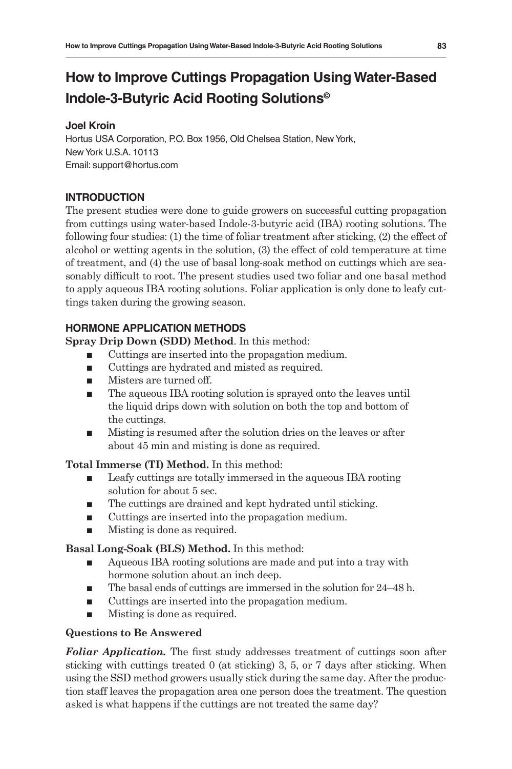### **Joel Kroin**

Hortus USA Corporation, P.O. Box 1956, Old Chelsea Station, New York, New York U.S.A. 10113 Email: support@hortus.com

# **INTRODUCTION**

The present studies were done to guide growers on successful cutting propagation from cuttings using water-based Indole-3-butyric acid (IBA) rooting solutions. The following four studies: (1) the time of foliar treatment after sticking, (2) the effect of alcohol or wetting agents in the solution, (3) the effect of cold temperature at time of treatment, and (4) the use of basal long-soak method on cuttings which are seasonably difficult to root. The present studies used two foliar and one basal method to apply aqueous IBA rooting solutions. Foliar application is only done to leafy cuttings taken during the growing season.

# **HORMONE APPLICATION METHODS**

**Spray Drip Down (SDD) Method**. In this method:

- Cuttings are inserted into the propagation medium.
- Cuttings are hydrated and misted as required.
- **Misters are turned off.**
- The aqueous IBA rooting solution is sprayed onto the leaves until the liquid drips down with solution on both the top and bottom of the cuttings.
- Misting is resumed after the solution dries on the leaves or after about 45 min and misting is done as required.

**Total Immerse (TI) Method.** In this method:

- Leafy cuttings are totally immersed in the aqueous IBA rooting solution for about 5 sec.
- The cuttings are drained and kept hydrated until sticking.
- Cuttings are inserted into the propagation medium.
- Misting is done as required.

## **Basal Long-Soak (BLS) Method.** In this method:

- Aqueous IBA rooting solutions are made and put into a tray with hormone solution about an inch deep.
- The basal ends of cuttings are immersed in the solution for 24–48 h.
- Cuttings are inserted into the propagation medium.
- **Misting is done as required.**

## **Questions to Be Answered**

*Foliar Application.* The first study addresses treatment of cuttings soon after sticking with cuttings treated 0 (at sticking) 3, 5, or 7 days after sticking. When using the SSD method growers usually stick during the same day. After the production staff leaves the propagation area one person does the treatment. The question asked is what happens if the cuttings are not treated the same day?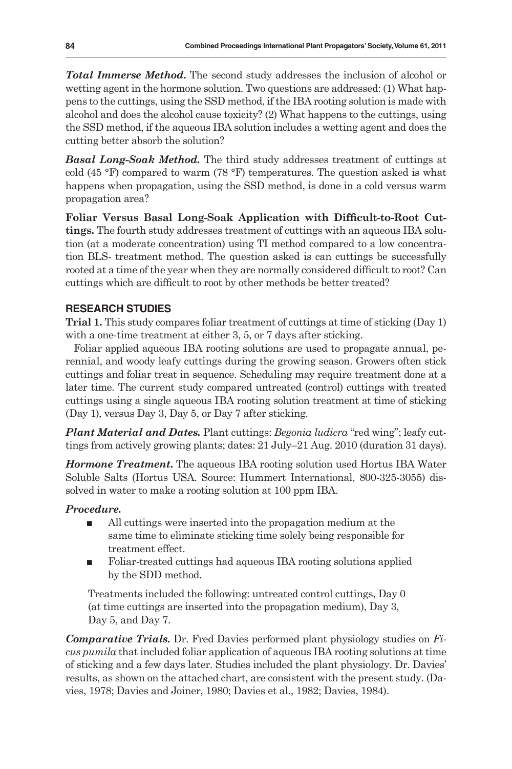*Total Immerse Method***.** The second study addresses the inclusion of alcohol or wetting agent in the hormone solution. Two questions are addressed: (1) What happens to the cuttings, using the SSD method, if the IBA rooting solution is made with alcohol and does the alcohol cause toxicity? (2) What happens to the cuttings, using the SSD method, if the aqueous IBA solution includes a wetting agent and does the cutting better absorb the solution?

*Basal Long-Soak Method.* The third study addresses treatment of cuttings at cold (45  $\degree$ F) compared to warm (78  $\degree$ F) temperatures. The question asked is what happens when propagation, using the SSD method, is done in a cold versus warm propagation area?

**Foliar Versus Basal Long-Soak Application with Difficult-to-Root Cuttings.** The fourth study addresses treatment of cuttings with an aqueous IBA solution (at a moderate concentration) using TI method compared to a low concentration BLS- treatment method. The question asked is can cuttings be successfully rooted at a time of the year when they are normally considered difficult to root? Can cuttings which are difficult to root by other methods be better treated?

## **RESEARCH STUDIES**

**Trial 1.** This study compares foliar treatment of cuttings at time of sticking (Day 1) with a one-time treatment at either 3, 5, or 7 days after sticking.

Foliar applied aqueous IBA rooting solutions are used to propagate annual, perennial, and woody leafy cuttings during the growing season. Growers often stick cuttings and foliar treat in sequence. Scheduling may require treatment done at a later time. The current study compared untreated (control) cuttings with treated cuttings using a single aqueous IBA rooting solution treatment at time of sticking (Day 1), versus Day 3, Day 5, or Day 7 after sticking.

*Plant Material and Dates.* Plant cuttings: *Begonia ludicra* "red wing"; leafy cuttings from actively growing plants; dates: 21 July–21 Aug. 2010 (duration 31 days).

*Hormone Treatment***.** The aqueous IBA rooting solution used Hortus IBA Water Soluble Salts (Hortus USA. Source: Hummert International, 800-325-3055) dissolved in water to make a rooting solution at 100 ppm IBA.

## *Procedure.*

- All cuttings were inserted into the propagation medium at the same time to eliminate sticking time solely being responsible for treatment effect.
- Foliar-treated cuttings had aqueous IBA rooting solutions applied by the SDD method.

Treatments included the following: untreated control cuttings, Day 0 (at time cuttings are inserted into the propagation medium), Day 3, Day 5, and Day 7.

*Comparative Trials.* Dr. Fred Davies performed plant physiology studies on *Ficus pumila* that included foliar application of aqueous IBA rooting solutions at time of sticking and a few days later. Studies included the plant physiology. Dr. Davies' results, as shown on the attached chart, are consistent with the present study. (Davies, 1978; Davies and Joiner, 1980; Davies et al., 1982; Davies, 1984).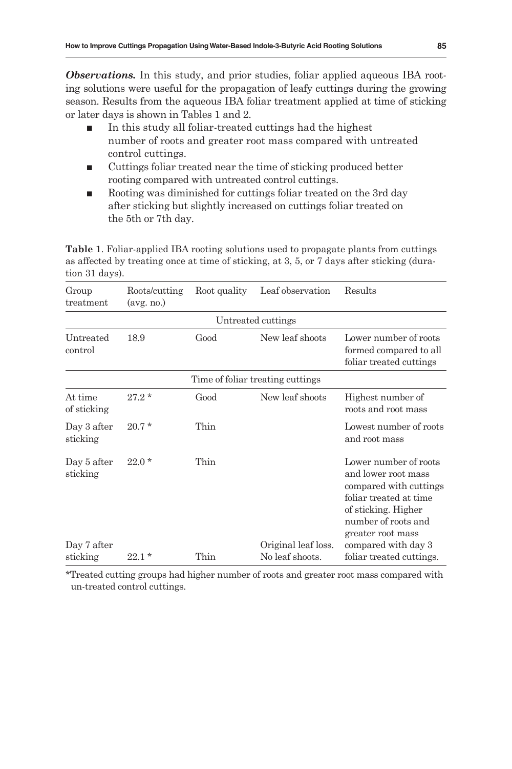**Observations.** In this study, and prior studies, foliar applied aqueous IBA rooting solutions were useful for the propagation of leafy cuttings during the growing season. Results from the aqueous IBA foliar treatment applied at time of sticking or later days is shown in Tables 1 and 2.

- In this study all foliar-treated cuttings had the highest number of roots and greater root mass compared with untreated control cuttings.
- Cuttings foliar treated near the time of sticking produced better rooting compared with untreated control cuttings.
- Rooting was diminished for cuttings foliar treated on the 3rd day after sticking but slightly increased on cuttings foliar treated on the 5th or 7th day.

**Table 1**. Foliar-applied IBA rooting solutions used to propagate plants from cuttings as affected by treating once at time of sticking, at 3, 5, or 7 days after sticking (duration 31 days).

| Group<br>treatment      | Roots/cutting<br>$(\text{avg. no.})$ | Root quality | Leaf observation                 | Results                                                                                                                                                             |
|-------------------------|--------------------------------------|--------------|----------------------------------|---------------------------------------------------------------------------------------------------------------------------------------------------------------------|
|                         |                                      |              | Untreated cuttings               |                                                                                                                                                                     |
| Untreated<br>control    | 18.9                                 | Good         | New leaf shoots                  | Lower number of roots<br>formed compared to all<br>foliar treated cuttings                                                                                          |
|                         |                                      |              | Time of foliar treating cuttings |                                                                                                                                                                     |
| At time<br>of sticking  | $27.2*$                              | Good         | New leaf shoots                  | Highest number of<br>roots and root mass                                                                                                                            |
| Day 3 after<br>sticking | $20.7*$                              | Thin         |                                  | Lowest number of roots<br>and root mass                                                                                                                             |
| Day 5 after<br>sticking | $22.0*$                              | Thin         |                                  | Lower number of roots<br>and lower root mass<br>compared with cuttings<br>foliar treated at time<br>of sticking. Higher<br>number of roots and<br>greater root mass |
| Day 7 after             |                                      |              | Original leaf loss.              | compared with day 3                                                                                                                                                 |
| sticking                | $22.1*$                              | Thin         | No leaf shoots.                  | foliar treated cuttings.                                                                                                                                            |

\*Treated cutting groups had higher number of roots and greater root mass compared with un-treated control cuttings.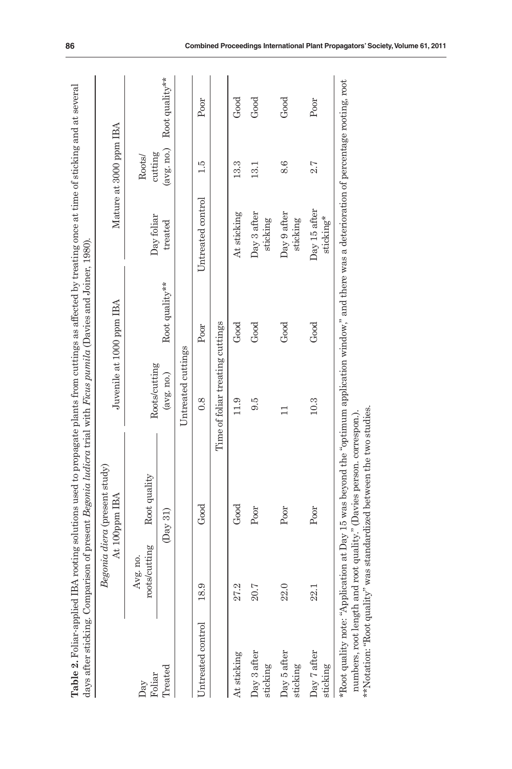|                                 |                           | Begonia diera (present study)<br>At 100ppm IBA | Juvenile at 1000 ppm IBA         |                |                           | Mature at 3000 ppm IBA |                |
|---------------------------------|---------------------------|------------------------------------------------|----------------------------------|----------------|---------------------------|------------------------|----------------|
| Foliar<br>Day                   | roots/cutting<br>Avg. no. | Root quality                                   | Roots/cutting                    |                | Day foliar                | cutting<br>Roots/      |                |
| Treated                         |                           | (Day 31)                                       | (avg, no.)                       | Root quality** | treated                   | (avg, no.)             | Root quality** |
|                                 |                           |                                                | Untreated cuttings               |                |                           |                        |                |
| 18.9<br>Untreated control       |                           | Good                                           | 0.8                              | Poor           | Untreated control         | 1.5                    | Poor           |
|                                 |                           |                                                | Time of foliar treating cuttings |                |                           |                        |                |
| 27.2<br>At sticking             |                           | Good                                           | 11.9                             | Good           | At sticking               | 13.3                   | Good           |
| 20.7<br>Day 3 after<br>sticking |                           | Poor                                           | 9.5                              | Good           | Day 3 after<br>sticking   | 13.1                   | Good           |
| 22.0<br>Day 5 after<br>sticking |                           | Poor                                           |                                  | Good           | Day 9 after<br>sticking   | 8.6                    | Good           |
| 22.1<br>Day 7 after<br>sticking |                           | Poor                                           | 10.3                             | Good           | Day 15 after<br>sticking* | 2.7                    | Poor           |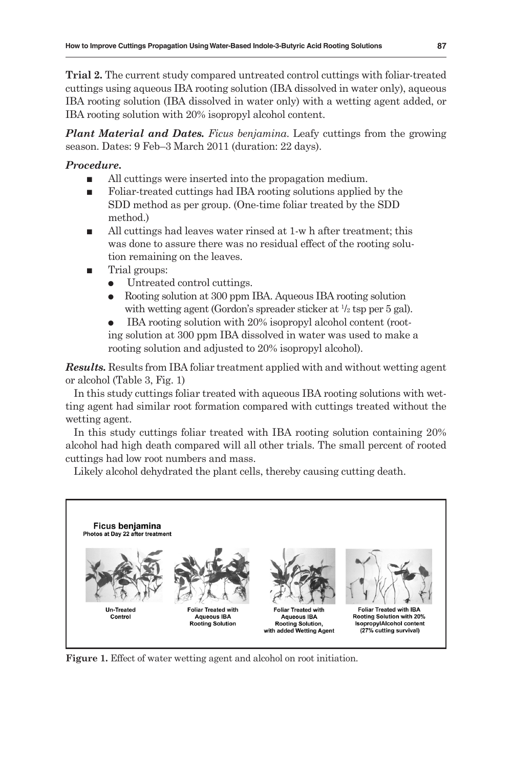**Trial 2.** The current study compared untreated control cuttings with foliar-treated cuttings using aqueous IBA rooting solution (IBA dissolved in water only), aqueous IBA rooting solution (IBA dissolved in water only) with a wetting agent added, or IBA rooting solution with 20% isopropyl alcohol content.

*Plant Material and Dates. Ficus benjamina*. Leafy cuttings from the growing season. Dates: 9 Feb–3 March 2011 (duration: 22 days).

### *Procedure***.**

- All cuttings were inserted into the propagation medium.
- Foliar-treated cuttings had IBA rooting solutions applied by the SDD method as per group. (One-time foliar treated by the SDD method.)
- All cuttings had leaves water rinsed at 1-w h after treatment; this was done to assure there was no residual effect of the rooting solution remaining on the leaves.
- **Trial groups:** 
	- Untreated control cuttings.
	- Rooting solution at 300 ppm IBA. Aqueous IBA rooting solution with wetting agent (Gordon's spreader sticker at  $\frac{1}{2}$  tsp per 5 gal).
	- IBA rooting solution with 20% isopropyl alcohol content (rooting solution at 300 ppm IBA dissolved in water was used to make a rooting solution and adjusted to 20% isopropyl alcohol).

*Results.* Results from IBA foliar treatment applied with and without wetting agent or alcohol (Table 3, Fig. 1)

In this study cuttings foliar treated with aqueous IBA rooting solutions with wetting agent had similar root formation compared with cuttings treated without the wetting agent.

In this study cuttings foliar treated with IBA rooting solution containing 20% alcohol had high death compared will all other trials. The small percent of rooted cuttings had low root numbers and mass.

Likely alcohol dehydrated the plant cells, thereby causing cutting death.



**Figure 1.** Effect of water wetting agent and alcohol on root initiation.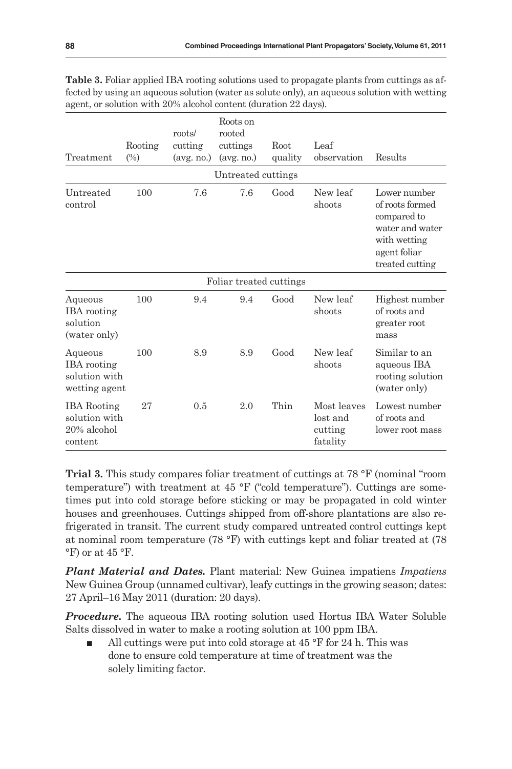| Treatment                                                       | Rooting<br>$(\%)$ | roots/<br>cutting<br>$(\text{avg. no.})$ | Roots on<br>rooted<br>cuttings<br>$(\text{avg}$ , no.) | Root<br>quality | Leaf<br>observation                            | Results                                                                                                              |
|-----------------------------------------------------------------|-------------------|------------------------------------------|--------------------------------------------------------|-----------------|------------------------------------------------|----------------------------------------------------------------------------------------------------------------------|
|                                                                 |                   |                                          | Untreated cuttings                                     |                 |                                                |                                                                                                                      |
| Untreated<br>control                                            | 100               | 7.6                                      | 7.6                                                    | Good            | New leaf<br>shoots                             | Lower number<br>of roots formed<br>compared to<br>water and water<br>with wetting<br>agent foliar<br>treated cutting |
|                                                                 |                   |                                          | Foliar treated cuttings                                |                 |                                                |                                                                                                                      |
| Aqueous<br><b>IBA</b> rooting<br>solution<br>(water only)       | 100               | 9.4                                      | 9.4                                                    | Good            | New leaf<br>shoots                             | Highest number<br>of roots and<br>greater root<br>mass                                                               |
| Aqueous<br><b>IBA</b> rooting<br>solution with<br>wetting agent | 100               | 8.9                                      | 8.9                                                    | Good            | New leaf<br>shoots                             | Similar to an<br>aqueous IBA<br>rooting solution<br>(water only)                                                     |
| <b>IBA</b> Rooting<br>solution with<br>20% alcohol<br>content   | 27                | 0.5                                      | 2.0                                                    | Thin            | Most leaves<br>lost and<br>cutting<br>fatality | Lowest number<br>of roots and<br>lower root mass                                                                     |

**Table 3.** Foliar applied IBA rooting solutions used to propagate plants from cuttings as affected by using an aqueous solution (water as solute only), an aqueous solution with wetting agent, or solution with 20% alcohol content (duration 22 days).

**Trial 3.** This study compares foliar treatment of cuttings at 78 °F (nominal "room temperature") with treatment at  $45$  °F ("cold temperature"). Cuttings are sometimes put into cold storage before sticking or may be propagated in cold winter houses and greenhouses. Cuttings shipped from off-shore plantations are also refrigerated in transit. The current study compared untreated control cuttings kept at nominal room temperature (78 °F) with cuttings kept and foliar treated at (78 °F) or at 45 °F.

*Plant Material and Dates.* Plant material: New Guinea impatiens *Impatiens* New Guinea Group (unnamed cultivar), leafy cuttings in the growing season; dates: 27 April–16 May 2011 (duration: 20 days).

*Procedure*. The aqueous IBA rooting solution used Hortus IBA Water Soluble Salts dissolved in water to make a rooting solution at 100 ppm IBA.

 All cuttings were put into cold storage at 45 °F for 24 h. This was done to ensure cold temperature at time of treatment was the solely limiting factor.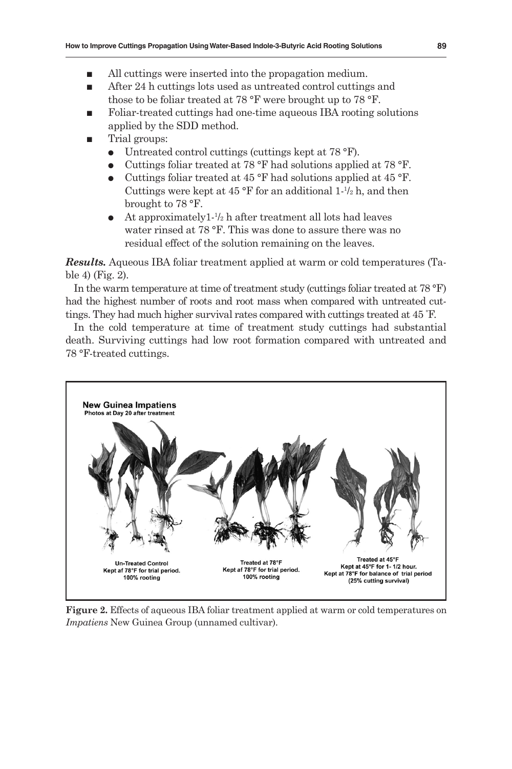- All cuttings were inserted into the propagation medium.
- After 24 h cuttings lots used as untreated control cuttings and those to be foliar treated at 78 °F were brought up to 78 °F.
- Foliar-treated cuttings had one-time aqueous IBA rooting solutions applied by the SDD method.
- Trial groups:
	- Untreated control cuttings (cuttings kept at 78 °F).
	- Cuttings foliar treated at 78  $\rm{^{\circ}F}$  had solutions applied at 78  $\rm{^{\circ}F}$ .
	- Cuttings foliar treated at 45 °F had solutions applied at 45 °F. Cuttings were kept at  $45^{\circ}$ F for an additional 1- $\frac{1}{2}$ h, and then brought to 78 °F.
	- $\bullet$  At approximately1- $\frac{1}{2}$  h after treatment all lots had leaves water rinsed at 78 °F. This was done to assure there was no residual effect of the solution remaining on the leaves.

*Results.* Aqueous IBA foliar treatment applied at warm or cold temperatures (Table 4) (Fig. 2).

In the warm temperature at time of treatment study (cuttings foliar treated at 78 °F) had the highest number of roots and root mass when compared with untreated cuttings. They had much higher survival rates compared with cuttings treated at 45 ° F.

In the cold temperature at time of treatment study cuttings had substantial death. Surviving cuttings had low root formation compared with untreated and 78 °F-treated cuttings.



**Figure 2.** Effects of aqueous IBA foliar treatment applied at warm or cold temperatures on *Impatiens* New Guinea Group (unnamed cultivar).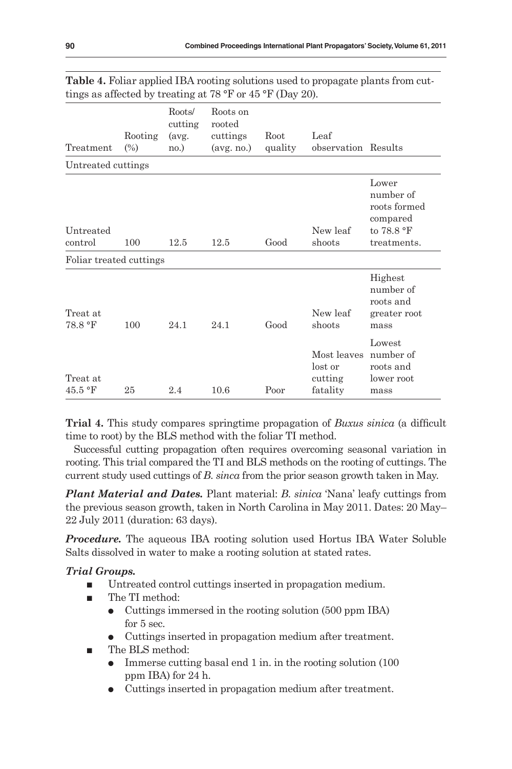| Treatment                                  | Rooting<br>$(\%)$ | Roots/<br>cutting<br>(avg.<br>no.) | Roots on<br>rooted<br>cuttings<br>(avg. no.) | Root<br>quality | Leaf<br>observation Results                   |                                                                             |
|--------------------------------------------|-------------------|------------------------------------|----------------------------------------------|-----------------|-----------------------------------------------|-----------------------------------------------------------------------------|
| Untreated cuttings                         |                   |                                    |                                              |                 |                                               |                                                                             |
| Untreated<br>control                       | 100               | 12.5                               | 12.5                                         | Good            | New leaf<br>shoots                            | Lower<br>number of<br>roots formed<br>compared<br>to 78.8 °F<br>treatments. |
| Foliar treated cuttings                    |                   |                                    |                                              |                 |                                               |                                                                             |
| Treat at<br>78.8 °F                        | 100               | 24.1                               | 24.1                                         | Good            | New leaf<br>shoots                            | Highest<br>number of<br>roots and<br>greater root<br>mass                   |
| Treat at<br>$45.5\text{ }^{\circ}\text{F}$ | 25                | 2.4                                | 10.6                                         | Poor            | Most leaves<br>lost or<br>cutting<br>fatality | Lowest<br>number of<br>roots and<br>lower root<br>mass                      |

| Table 4. Foliar applied IBA rooting solutions used to propagate plants from cut- |  |
|----------------------------------------------------------------------------------|--|
| tings as affected by treating at 78 $\rm{P}F$ or 45 $\rm{P}F$ (Day 20).          |  |

**Trial 4.** This study compares springtime propagation of *Buxus sinica* (a difficult time to root) by the BLS method with the foliar TI method.

Successful cutting propagation often requires overcoming seasonal variation in rooting. This trial compared the TI and BLS methods on the rooting of cuttings. The current study used cuttings of *B. sinca* from the prior season growth taken in May.

*Plant Material and Dates.* Plant material: *B. sinica* 'Nana' leafy cuttings from the previous season growth, taken in North Carolina in May 2011. Dates: 20 May– 22 July 2011 (duration: 63 days).

*Procedure.* The aqueous IBA rooting solution used Hortus IBA Water Soluble Salts dissolved in water to make a rooting solution at stated rates.

#### *Trial Groups.*

- Untreated control cuttings inserted in propagation medium.
- The TI method:
	- Cuttings immersed in the rooting solution (500 ppm IBA) for 5 sec.
	- Cuttings inserted in propagation medium after treatment.
- The BLS method:
	- Immerse cutting basal end 1 in. in the rooting solution (100) ppm IBA) for 24 h.
	- Cuttings inserted in propagation medium after treatment.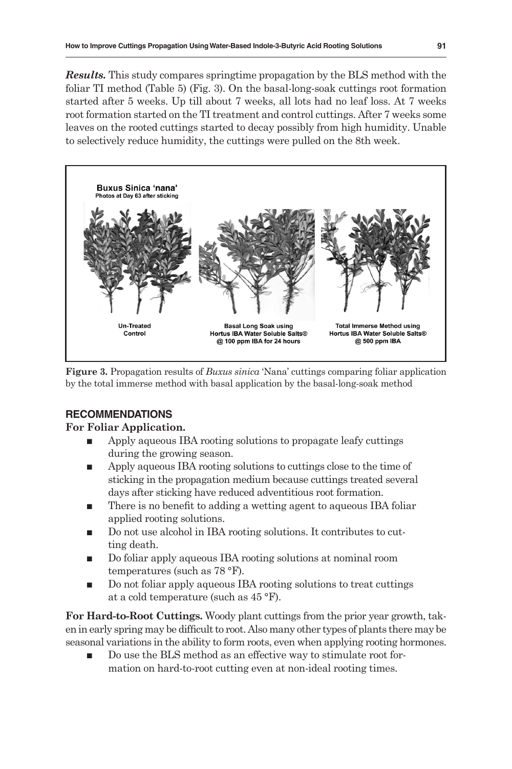*Results.* This study compares springtime propagation by the BLS method with the foliar TI method (Table 5) (Fig. 3). On the basal-long-soak cuttings root formation started after 5 weeks. Up till about 7 weeks, all lots had no leaf loss. At 7 weeks root formation started on the TI treatment and control cuttings. After 7 weeks some leaves on the rooted cuttings started to decay possibly from high humidity. Unable to selectively reduce humidity, the cuttings were pulled on the 8th week.



**Figure 3.** Propagation results of *Buxus sinica* 'Nana' cuttings comparing foliar application by the total immerse method with basal application by the basal-long-soak method

## **RECOMMENDATIONS**

#### **For Foliar Application.**

- Apply aqueous IBA rooting solutions to propagate leafy cuttings during the growing season.
- Apply aqueous IBA rooting solutions to cuttings close to the time of sticking in the propagation medium because cuttings treated several days after sticking have reduced adventitious root formation.
- There is no benefit to adding a wetting agent to aqueous IBA foliar applied rooting solutions.
- Do not use alcohol in IBA rooting solutions. It contributes to cutting death.
- Do foliar apply aqueous IBA rooting solutions at nominal room temperatures (such as 78 °F).
- Do not foliar apply aqueous IBA rooting solutions to treat cuttings at a cold temperature (such as 45 °F).

**For Hard-to-Root Cuttings.** Woody plant cuttings from the prior year growth, taken in early spring may be difficult to root. Also many other types of plants there may be seasonal variations in the ability to form roots, even when applying rooting hormones.

 Do use the BLS method as an effective way to stimulate root formation on hard-to-root cutting even at non-ideal rooting times.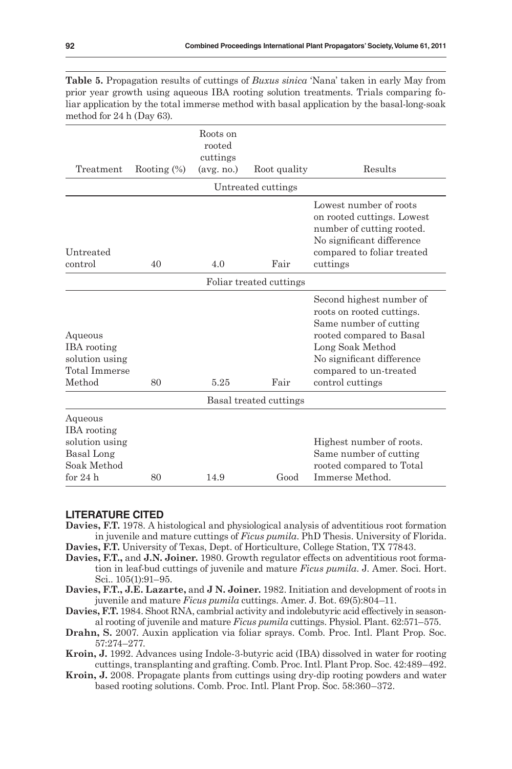| $1110011001101 = 1111000$                                                                        |                |                                              |                         |                                                                                                                                                                                                            |
|--------------------------------------------------------------------------------------------------|----------------|----------------------------------------------|-------------------------|------------------------------------------------------------------------------------------------------------------------------------------------------------------------------------------------------------|
| Treatment                                                                                        | Rooting $(\%)$ | Roots on<br>rooted<br>cuttings<br>(avg. no.) | Root quality            | Results                                                                                                                                                                                                    |
|                                                                                                  |                |                                              | Untreated cuttings      |                                                                                                                                                                                                            |
| Untreated<br>control                                                                             | 40             | 4.0                                          | Fair                    | Lowest number of roots<br>on rooted cuttings. Lowest<br>number of cutting rooted.<br>No significant difference<br>compared to foliar treated<br>cuttings                                                   |
|                                                                                                  |                |                                              | Foliar treated cuttings |                                                                                                                                                                                                            |
|                                                                                                  |                |                                              |                         |                                                                                                                                                                                                            |
| Aqueous<br><b>IBA</b> rooting<br>solution using<br><b>Total Immerse</b><br>Method                | 80             | 5.25                                         | Fair                    | Second highest number of<br>roots on rooted cuttings.<br>Same number of cutting<br>rooted compared to Basal<br>Long Soak Method<br>No significant difference<br>compared to un-treated<br>control cuttings |
|                                                                                                  |                |                                              | Basal treated cuttings  |                                                                                                                                                                                                            |
| Aqueous<br><b>IBA</b> rooting<br>solution using<br><b>Basal</b> Long<br>Soak Method<br>for $24h$ | 80             | 14.9                                         | Good                    | Highest number of roots.<br>Same number of cutting<br>rooted compared to Total<br>Immerse Method.                                                                                                          |

**Table 5.** Propagation results of cuttings of *Buxus sinica* 'Nana' taken in early May from prior year growth using aqueous IBA rooting solution treatments. Trials comparing foliar application by the total immerse method with basal application by the basal-long-soak method for 24 h (Day 63).

#### **LITERATURE CITED**

- **Davies, F.T.** 1978. A histological and physiological analysis of adventitious root formation in juvenile and mature cuttings of *Ficus pumila*. PhD Thesis. University of Florida.
- **Davies, F.T.** University of Texas, Dept. of Horticulture, College Station, TX 77843.
- **Davies, F.T.,** and **J.N. Joiner.** 1980. Growth regulator effects on adventitious root formation in leaf-bud cuttings of juvenile and mature *Ficus pumila*. J. Amer. Soci. Hort. Sci.. 105(1):91–95.
- **Davies, F.T., J.E. Lazarte,** and **J N. Joiner.** 1982. Initiation and development of roots in juvenile and mature *Ficus pumila* cuttings. Amer. J. Bot. 69(5):804–11.
- **Davies, F.T.** 1984. Shoot RNA, cambrial activity and indolebutyric acid effectively in seasonal rooting of juvenile and mature *Ficus pumila* cuttings. Physiol. Plant. 62:571–575.
- **Drahn, S.** 2007. Auxin application via foliar sprays. Comb. Proc. Intl. Plant Prop. Soc. 57:274–277.
- **Kroin, J.** 1992. Advances using Indole-3-butyric acid (IBA) dissolved in water for rooting cuttings, transplanting and grafting. Comb. Proc. Intl. Plant Prop. Soc. 42:489–492.
- **Kroin, J.** 2008. Propagate plants from cuttings using dry-dip rooting powders and water based rooting solutions. Comb. Proc. Intl. Plant Prop. Soc. 58:360–372.